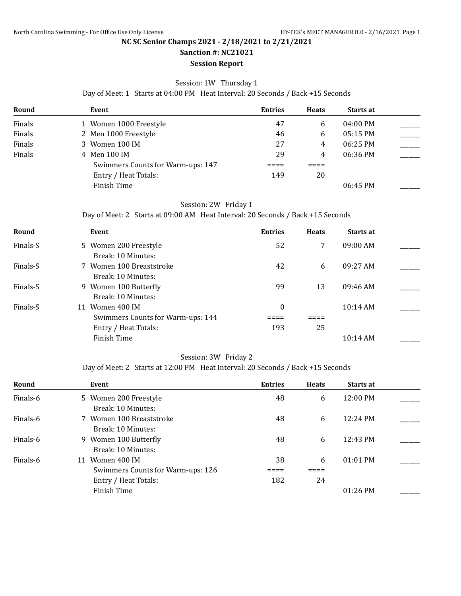**Sanction #: NC21021 Session Report**

#### Session: 1W Thursday 1

Day of Meet: 1 Starts at 04:00 PM Heat Interval: 20 Seconds / Back +15 Seconds

| Round  | Event                             | <b>Entries</b> | <b>Heats</b> | <b>Starts at</b> |  |
|--------|-----------------------------------|----------------|--------------|------------------|--|
| Finals | 1 Women 1000 Freestyle            | 47             | 6            | 04:00 PM         |  |
| Finals | 2 Men 1000 Freestyle              | 46             | 6            | 05:15 PM         |  |
| Finals | 3 Women 100 IM                    | 27             | 4            | 06:25 PM         |  |
| Finals | 4 Men 100 IM                      | 29             | 4            | 06:36 PM         |  |
|        | Swimmers Counts for Warm-ups: 147 |                |              |                  |  |
|        | Entry / Heat Totals:              | 149            | 20           |                  |  |
|        | Finish Time                       |                |              | 06:45 PM         |  |

## Session: 2W Friday 1

#### Day of Meet: 2 Starts at 09:00 AM Heat Interval: 20 Seconds / Back +15 Seconds

| Round    | Event                             | <b>Entries</b>   | <b>Heats</b> | Starts at          |  |
|----------|-----------------------------------|------------------|--------------|--------------------|--|
| Finals-S | 5 Women 200 Freestyle             | 52               | 7            | $09:00$ AM         |  |
|          | Break: 10 Minutes:                |                  |              |                    |  |
| Finals-S | 7 Women 100 Breaststroke          | 42               | 6            | 09:27 AM           |  |
|          | Break: 10 Minutes:                |                  |              |                    |  |
| Finals-S | 9 Women 100 Butterfly             | 99               | 13           | 09:46 AM           |  |
|          | Break: 10 Minutes:                |                  |              |                    |  |
| Finals-S | Women 400 IM<br>11                | $\boldsymbol{0}$ |              | $10:14$ AM         |  |
|          | Swimmers Counts for Warm-ups: 144 |                  |              |                    |  |
|          | Entry / Heat Totals:              | 193              | 25           |                    |  |
|          | Finish Time                       |                  |              | $10:14 \text{ AM}$ |  |

#### Session: 3W Friday 2

Day of Meet: 2 Starts at 12:00 PM Heat Interval: 20 Seconds / Back +15 Seconds

| Round    | Event                             | <b>Entries</b> | <b>Heats</b> | <b>Starts at</b>   |  |
|----------|-----------------------------------|----------------|--------------|--------------------|--|
| Finals-6 | 5 Women 200 Freestyle             | 48             | 6            | $12:00 \text{ PM}$ |  |
|          | Break: 10 Minutes:                |                |              |                    |  |
| Finals-6 | 7 Women 100 Breaststroke          | 48             | 6            | $12:24 \text{ PM}$ |  |
|          | Break: 10 Minutes:                |                |              |                    |  |
| Finals-6 | 9 Women 100 Butterfly             | 48             | 6            | 12:43 PM           |  |
|          | Break: 10 Minutes:                |                |              |                    |  |
| Finals-6 | Women 400 IM<br>11                | 38             | 6            | $01:01$ PM         |  |
|          | Swimmers Counts for Warm-ups: 126 |                |              |                    |  |
|          | Entry / Heat Totals:              | 182            | 24           |                    |  |
|          | Finish Time                       |                |              | $01:26$ PM         |  |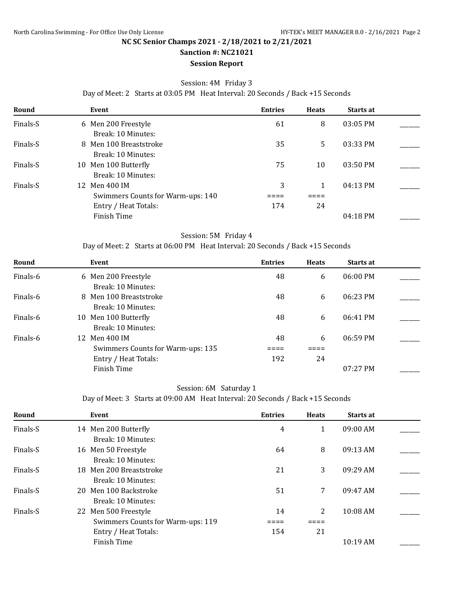# **Sanction #: NC21021**

## **Session Report**

#### Session: 4M Friday 3

Day of Meet: 2 Starts at 03:05 PM Heat Interval: 20 Seconds / Back +15 Seconds

| Round    | Event                             | <b>Entries</b> | <b>Heats</b> | <b>Starts at</b> |  |
|----------|-----------------------------------|----------------|--------------|------------------|--|
| Finals-S | 6 Men 200 Freestyle               | 61             | 8            | 03:05 PM         |  |
|          | Break: 10 Minutes:                |                |              |                  |  |
| Finals-S | 8 Men 100 Breaststroke            | 35             | 5.           | 03:33 PM         |  |
|          | Break: 10 Minutes:                |                |              |                  |  |
| Finals-S | 10 Men 100 Butterfly              | 75             | 10           | $03:50$ PM       |  |
|          | Break: 10 Minutes:                |                |              |                  |  |
| Finals-S | 12 Men 400 IM                     | 3              |              | $04:13$ PM       |  |
|          | Swimmers Counts for Warm-ups: 140 |                |              |                  |  |
|          | Entry / Heat Totals:              | 174            | 24           |                  |  |
|          | Finish Time                       |                |              | $04:18$ PM       |  |

#### Session: 5M Friday 4

Day of Meet: 2 Starts at 06:00 PM Heat Interval: 20 Seconds / Back +15 Seconds

| Round    | Event                             | <b>Entries</b> | <b>Heats</b> | <b>Starts at</b> |  |
|----------|-----------------------------------|----------------|--------------|------------------|--|
| Finals-6 | 6 Men 200 Freestyle               | 48             | 6            | $06:00$ PM       |  |
|          | Break: 10 Minutes:                |                |              |                  |  |
| Finals-6 | 8 Men 100 Breaststroke            | 48             | 6            | 06:23 PM         |  |
|          | Break: 10 Minutes:                |                |              |                  |  |
| Finals-6 | 10 Men 100 Butterfly              | 48             | 6            | 06:41 PM         |  |
|          | Break: 10 Minutes:                |                |              |                  |  |
| Finals-6 | 12 Men 400 IM                     | 48             | 6            | 06:59 PM         |  |
|          | Swimmers Counts for Warm-ups: 135 |                |              |                  |  |
|          | Entry / Heat Totals:              | 192            | 24           |                  |  |
|          | Finish Time                       |                |              | $07:27$ PM       |  |

#### Session: 6M Saturday 1

Day of Meet: 3 Starts at 09:00 AM Heat Interval: 20 Seconds / Back +15 Seconds

| Round    | Event                                         | <b>Entries</b> | <b>Heats</b> | Starts at |  |
|----------|-----------------------------------------------|----------------|--------------|-----------|--|
| Finals-S | 14 Men 200 Butterfly                          | 4              |              | 09:00 AM  |  |
| Finals-S | Break: 10 Minutes:<br>16 Men 50 Freestyle     | 64             | 8            | 09:13 AM  |  |
| Finals-S | Break: 10 Minutes:<br>18 Men 200 Breaststroke | 21             | 3            | 09:29 AM  |  |
| Finals-S | Break: 10 Minutes:<br>20 Men 100 Backstroke   | 51             | 7            | 09:47 AM  |  |
| Finals-S | Break: 10 Minutes:<br>22 Men 500 Freestyle    | 14             | 2            | 10:08 AM  |  |
|          | Swimmers Counts for Warm-ups: 119             |                |              |           |  |
|          | Entry / Heat Totals:                          | 154            | 21           |           |  |
|          | Finish Time                                   |                |              | 10:19AM   |  |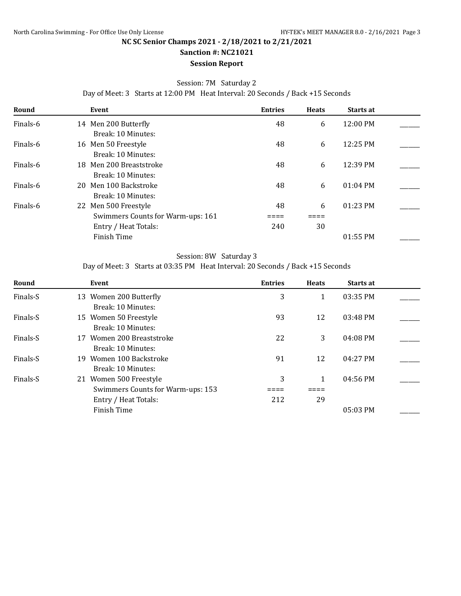# **Sanction #: NC21021**

# **Session Report**

### Session: 7M Saturday 2

Day of Meet: 3 Starts at 12:00 PM Heat Interval: 20 Seconds / Back +15 Seconds

| Round    | Event                                                     | <b>Entries</b> | <b>Heats</b> | <b>Starts at</b>   |  |
|----------|-----------------------------------------------------------|----------------|--------------|--------------------|--|
| Finals-6 | 14 Men 200 Butterfly<br>Break: 10 Minutes:                | 48             | 6            | $12:00 \text{ PM}$ |  |
| Finals-6 | 16 Men 50 Freestyle<br>Break: 10 Minutes:                 | 48             | 6            | 12:25 PM           |  |
| Finals-6 | 18 Men 200 Breaststroke<br>Break: 10 Minutes:             | 48             | 6            | 12:39 PM           |  |
| Finals-6 | 20 Men 100 Backstroke<br>Break: 10 Minutes:               | 48             | 6            | $01:04$ PM         |  |
| Finals-6 | 22 Men 500 Freestyle<br>Swimmers Counts for Warm-ups: 161 | 48             | 6            | $01:23$ PM         |  |
|          | Entry / Heat Totals:                                      | 240            | 30           |                    |  |
|          | Finish Time                                               |                |              | $01:55$ PM         |  |

#### Session: 8W Saturday 3

Day of Meet: 3 Starts at 03:35 PM Heat Interval: 20 Seconds / Back +15 Seconds

| Round    | Event                                              | <b>Entries</b> | <b>Heats</b> | <b>Starts at</b> |  |
|----------|----------------------------------------------------|----------------|--------------|------------------|--|
| Finals-S | 13 Women 200 Butterfly                             | 3              | 1            | 03:35 PM         |  |
| Finals-S | Break: 10 Minutes:<br>15 Women 50 Freestyle        | 93             | 12           | 03:48 PM         |  |
| Finals-S | Break: 10 Minutes:<br>Women 200 Breaststroke<br>17 | 22             | 3            | $04:08$ PM       |  |
|          | Break: 10 Minutes:                                 |                |              |                  |  |
| Finals-S | Women 100 Backstroke<br>19.<br>Break: 10 Minutes:  | 91             | 12           | 04:27 PM         |  |
| Finals-S | 21 Women 500 Freestyle                             | 3              | 1            | 04:56 PM         |  |
|          | Swimmers Counts for Warm-ups: 153                  |                |              |                  |  |
|          | Entry / Heat Totals:                               | 212            | 29           |                  |  |
|          | Finish Time                                        |                |              | $05:03$ PM       |  |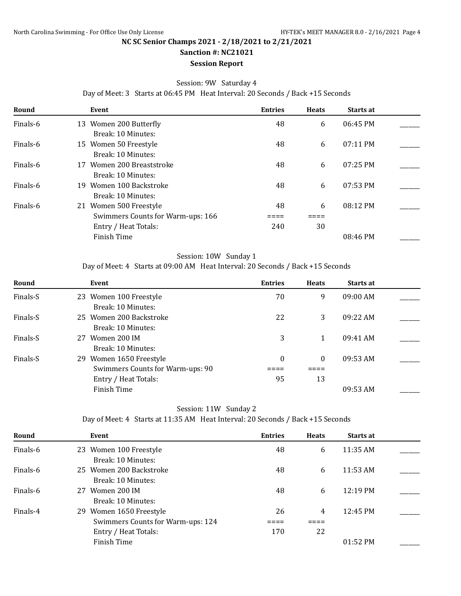# **Sanction #: NC21021**

#### **Session Report**

## Session: 9W Saturday 4

Day of Meet: 3 Starts at 06:45 PM Heat Interval: 20 Seconds / Back +15 Seconds

| Round    | Event                                                       | <b>Entries</b> | <b>Heats</b> | <b>Starts at</b> |  |
|----------|-------------------------------------------------------------|----------------|--------------|------------------|--|
| Finals-6 | 13 Women 200 Butterfly<br>Break: 10 Minutes:                | 48             | 6            | 06:45 PM         |  |
| Finals-6 | 15 Women 50 Freestyle<br>Break: 10 Minutes:                 | 48             | 6            | $07:11$ PM       |  |
| Finals-6 | Women 200 Breaststroke<br>17<br>Break: 10 Minutes:          | 48             | 6            | $07:25$ PM       |  |
| Finals-6 | Women 100 Backstroke<br>19.<br>Break: 10 Minutes:           | 48             | 6            | $07:53$ PM       |  |
| Finals-6 | 21 Women 500 Freestyle<br>Swimmers Counts for Warm-ups: 166 | 48             | 6            | 08:12 PM         |  |
|          | Entry / Heat Totals:                                        | 240            | 30           |                  |  |
|          | Finish Time                                                 |                |              | 08:46 PM         |  |

#### Session: 10W Sunday 1

Day of Meet: 4 Starts at 09:00 AM Heat Interval: 20 Seconds / Back +15 Seconds

| Round    | Event                            | <b>Entries</b>   | <b>Heats</b> | <b>Starts at</b> |  |
|----------|----------------------------------|------------------|--------------|------------------|--|
| Finals-S | 23 Women 100 Freestyle           | 70               | 9            | $09:00$ AM       |  |
|          | Break: 10 Minutes:               |                  |              |                  |  |
| Finals-S | 25 Women 200 Backstroke          | 22               | 3            | 09.22 AM         |  |
|          | Break: 10 Minutes:               |                  |              |                  |  |
| Finals-S | 27 Women 200 IM                  | 3                |              | 09:41 AM         |  |
|          | Break: 10 Minutes:               |                  |              |                  |  |
| Finals-S | 29 Women 1650 Freestyle          | $\boldsymbol{0}$ | $\theta$     | 09:53 AM         |  |
|          | Swimmers Counts for Warm-ups: 90 |                  |              |                  |  |
|          | Entry / Heat Totals:             | 95               | 13           |                  |  |
|          | Finish Time                      |                  |              | 09:53 AM         |  |
|          |                                  |                  |              |                  |  |

# Session: 11W Sunday 2

Day of Meet: 4 Starts at 11:35 AM Heat Interval: 20 Seconds / Back +15 Seconds

| Round    | Event                             | <b>Entries</b> | <b>Heats</b> | Starts at          |  |
|----------|-----------------------------------|----------------|--------------|--------------------|--|
| Finals-6 | 23 Women 100 Freestyle            | 48             | 6            | $11:35$ AM         |  |
|          | Break: 10 Minutes:                |                |              |                    |  |
| Finals-6 | 25 Women 200 Backstroke           | 48             | 6            | $11:53$ AM         |  |
|          | Break: 10 Minutes:                |                |              |                    |  |
| Finals-6 | Women 200 IM<br>27                | 48             | 6            | $12:19 \text{ PM}$ |  |
|          | Break: 10 Minutes:                |                |              |                    |  |
| Finals-4 | 29 Women 1650 Freestyle           | 26             | 4            | 12:45 PM           |  |
|          | Swimmers Counts for Warm-ups: 124 |                |              |                    |  |
|          | Entry / Heat Totals:              | 170            | 22           |                    |  |
|          | Finish Time                       |                |              | $01:52 \text{ PM}$ |  |